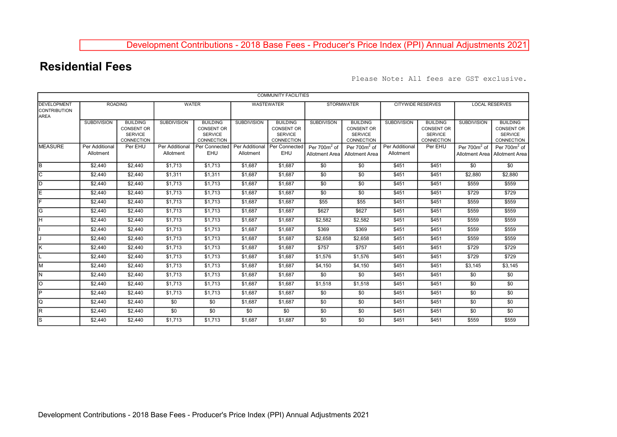## Development Contributions - 2018 Base Fees - Producer's Price Index (PPI) Annual Adjustments 2021

## Residential Fees

Please Note: All fees are GST exclusive.

|                                                          |                             |                                                                      |                             |                                                                      |                             | <b>COMMUNITY FACILITIES</b>                                          |                                   |                                                                      |                             |                                                                      |                       |                                                                      |
|----------------------------------------------------------|-----------------------------|----------------------------------------------------------------------|-----------------------------|----------------------------------------------------------------------|-----------------------------|----------------------------------------------------------------------|-----------------------------------|----------------------------------------------------------------------|-----------------------------|----------------------------------------------------------------------|-----------------------|----------------------------------------------------------------------|
| <b>DEVELOPMENT</b><br><b>CONTRIBUTION</b><br><b>AREA</b> | <b>ROADING</b>              |                                                                      | <b>WATER</b>                |                                                                      | WASTEWATER                  |                                                                      | <b>STORMWATER</b>                 |                                                                      | <b>CITYWIDE RESERVES</b>    |                                                                      | <b>LOCAL RESERVES</b> |                                                                      |
|                                                          | <b>SUBDIVISION</b>          | <b>BUILDING</b><br><b>CONSENT OR</b><br><b>SERVICE</b><br>CONNECTION | <b>SUBDIVISION</b>          | <b>BUILDING</b><br><b>CONSENT OR</b><br><b>SERVICE</b><br>CONNECTION | <b>SUBDIVISION</b>          | <b>BUILDING</b><br><b>CONSENT OR</b><br><b>SERVICE</b><br>CONNECTION | <b>SUBDIVISON</b>                 | <b>BUILDING</b><br><b>CONSENT OR</b><br><b>SERVICE</b><br>CONNECTION | <b>SUBDIVISION</b>          | <b>BUILDING</b><br><b>CONSENT OR</b><br><b>SERVICE</b><br>CONNECTION | <b>SUBDIVISION</b>    | <b>BUILDING</b><br><b>CONSENT OR</b><br><b>SERVICE</b><br>CONNECTION |
| <b>MEASURE</b>                                           | Per Additional<br>Allotment | Per EHU                                                              | Per Additional<br>Allotment | Per Connected<br>EHU                                                 | Per Additional<br>Allotment | Per Connected<br>EHU                                                 | Per $700m^2$ of<br>Allotment Area | Per $700m2$ of<br>Allotment Area                                     | Per Additional<br>Allotment | Per EHU                                                              | Per $700m2$ of        | Per $700m2$ of<br>Allotment Area   Allotment Area                    |
| lв                                                       | \$2,440                     | \$2,440                                                              | \$1,713                     | \$1,713                                                              | \$1,687                     | $\overline{$1,687}$                                                  | \$0                               | \$0                                                                  | \$451                       | \$451                                                                | \$0                   | \$0                                                                  |
| ГC                                                       | \$2,440                     | \$2,440                                                              | \$1,311                     | \$1,311                                                              | \$1,687                     | \$1.687                                                              | \$0                               | \$0                                                                  | \$451                       | \$451                                                                | \$2,880               | \$2,880                                                              |
| ID                                                       | \$2,440                     | \$2,440                                                              | \$1,713                     | \$1,713                                                              | \$1,687                     | \$1,687                                                              | \$0                               | \$0                                                                  | \$451                       | \$451                                                                | \$559                 | \$559                                                                |
| lΕ                                                       | \$2,440                     | \$2,440                                                              | \$1,713                     | \$1,713                                                              | \$1,687                     | \$1,687                                                              | \$0                               | \$0                                                                  | \$451                       | \$451                                                                | \$729                 | \$729                                                                |
|                                                          | \$2,440                     | \$2,440                                                              | \$1,713                     | \$1,713                                                              | \$1,687                     | \$1,687                                                              | \$55                              | \$55                                                                 | \$451                       | \$451                                                                | \$559                 | \$559                                                                |
| G                                                        | \$2,440                     | \$2,440                                                              | \$1,713                     | \$1,713                                                              | \$1,687                     | \$1,687                                                              | \$627                             | \$627                                                                | \$451                       | \$451                                                                | \$559                 | \$559                                                                |
| lн                                                       | \$2,440                     | \$2,440                                                              | \$1,713                     | \$1,713                                                              | \$1,687                     | \$1,687                                                              | \$2,582                           | \$2,582                                                              | \$451                       | \$451                                                                | \$559                 | \$559                                                                |
|                                                          | \$2,440                     | \$2,440                                                              | \$1,713                     | \$1,713                                                              | \$1,687                     | \$1,687                                                              | \$369                             | \$369                                                                | \$451                       | \$451                                                                | \$559                 | \$559                                                                |
|                                                          | \$2,440                     | \$2,440                                                              | \$1,713                     | \$1,713                                                              | \$1,687                     | \$1,687                                                              | \$2,658                           | \$2,658                                                              | \$451                       | \$451                                                                | \$559                 | \$559                                                                |
| K                                                        | \$2,440                     | \$2,440                                                              | \$1,713                     | \$1,713                                                              | \$1,687                     | \$1,687                                                              | \$757                             | \$757                                                                | \$451                       | \$451                                                                | \$729                 | \$729                                                                |
|                                                          | \$2,440                     | \$2,440                                                              | \$1,713                     | \$1,713                                                              | \$1,687                     | \$1,687                                                              | \$1,576                           | \$1,576                                                              | \$451                       | \$451                                                                | \$729                 | \$729                                                                |
| lм                                                       | \$2,440                     | \$2,440                                                              | \$1,713                     | \$1,713                                                              | \$1,687                     | \$1,687                                                              | \$4,150                           | \$4,150                                                              | \$451                       | \$451                                                                | \$3,145               | \$3,145                                                              |
| N.                                                       | \$2,440                     | \$2,440                                                              | \$1,713                     | \$1,713                                                              | \$1,687                     | \$1,687                                                              | \$0                               | \$0                                                                  | \$451                       | \$451                                                                | \$0                   | \$0                                                                  |
| lo                                                       | \$2,440                     | \$2,440                                                              | \$1,713                     | \$1,713                                                              | \$1,687                     | \$1,687                                                              | \$1,518                           | \$1,518                                                              | \$451                       | \$451                                                                | \$0                   | \$0                                                                  |
| ΙP                                                       | \$2,440                     | \$2,440                                                              | \$1,713                     | \$1,713                                                              | \$1,687                     | \$1,687                                                              | \$0                               | \$0                                                                  | \$451                       | \$451                                                                | \$0                   | \$0                                                                  |
| lQ                                                       | \$2,440                     | \$2,440                                                              | \$0                         | \$0                                                                  | \$1,687                     | \$1,687                                                              | \$0                               | \$0                                                                  | \$451                       | \$451                                                                | \$0                   | \$0                                                                  |
| R                                                        | \$2,440                     | \$2,440                                                              | \$0                         | \$0                                                                  | \$0                         | \$0                                                                  | \$0                               | \$0                                                                  | \$451                       | \$451                                                                | \$0                   | \$0                                                                  |
| ls                                                       | \$2,440                     | \$2,440                                                              | \$1,713                     | \$1,713                                                              | \$1,687                     | \$1.687                                                              | \$0                               | \$0                                                                  | \$451                       | \$451                                                                | \$559                 | \$559                                                                |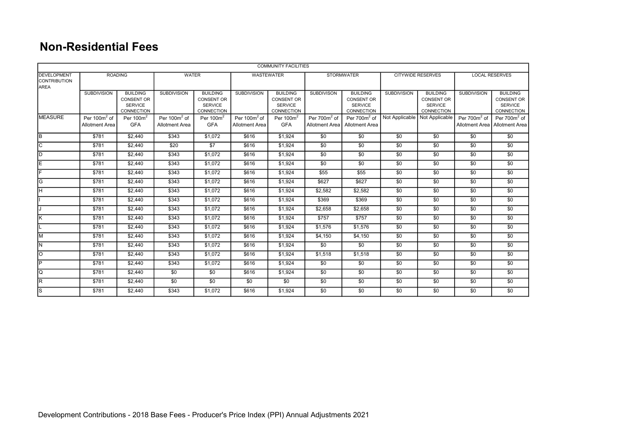## Non-Residential Fees

|                                                          |                                   |                                                                      |                                          |                                                                      |                                   | <b>COMMUNITY FACILITIES</b>                                          |                                   |                                                                      |                          |                                                                      |                       |                                                                      |
|----------------------------------------------------------|-----------------------------------|----------------------------------------------------------------------|------------------------------------------|----------------------------------------------------------------------|-----------------------------------|----------------------------------------------------------------------|-----------------------------------|----------------------------------------------------------------------|--------------------------|----------------------------------------------------------------------|-----------------------|----------------------------------------------------------------------|
| <b>DEVELOPMENT</b><br><b>CONTRIBUTION</b><br><b>AREA</b> | <b>ROADING</b>                    |                                                                      | <b>WATER</b>                             |                                                                      | <b>WASTEWATER</b>                 |                                                                      | <b>STORMWATER</b>                 |                                                                      | <b>CITYWIDE RESERVES</b> |                                                                      | <b>LOCAL RESERVES</b> |                                                                      |
|                                                          | <b>SUBDIVISION</b>                | <b>BUILDING</b><br>CONSENT OR<br><b>SERVICE</b><br><b>CONNECTION</b> | <b>SUBDIVISION</b>                       | <b>BUILDING</b><br><b>CONSENT OR</b><br><b>SERVICE</b><br>CONNECTION | <b>SUBDIVISION</b>                | <b>BUILDING</b><br><b>CONSENT OR</b><br><b>SERVICE</b><br>CONNECTION | <b>SUBDIVISON</b>                 | <b>BUILDING</b><br><b>CONSENT OR</b><br><b>SERVICE</b><br>CONNECTION | <b>SUBDIVISION</b>       | <b>BUILDING</b><br><b>CONSENT OR</b><br><b>SERVICE</b><br>CONNECTION | <b>SUBDIVISION</b>    | <b>BUILDING</b><br><b>CONSENT OR</b><br><b>SERVICE</b><br>CONNECTION |
| <b>MEASURE</b>                                           | Per $100m^2$ of<br>Allotment Area | Per $100m^2$<br><b>GFA</b>                                           | Per $100m^2$ of<br><b>Allotment Area</b> | Per $100m^2$<br><b>GFA</b>                                           | Per $100m^2$ of<br>Allotment Area | Per $100m^2$<br><b>GFA</b>                                           | Per $700m^2$ of<br>Allotment Area | Per 700m <sup>2</sup> of<br><b>Allotment Area</b>                    |                          | Not Applicable   Not Applicable                                      | Per $700m^2$ of       | Per $700m^2$ of<br>Allotment Area   Allotment Area                   |
| lв                                                       | \$781                             | \$2,440                                                              | \$343                                    | \$1,072                                                              | \$616                             | \$1,924                                                              | \$0                               | \$0                                                                  | \$0                      | \$0                                                                  | \$0                   | \$0                                                                  |
| lc                                                       | \$781                             | \$2,440                                                              | \$20                                     | \$7                                                                  | \$616                             | \$1,924                                                              | \$0                               | \$0                                                                  | \$0                      | \$0                                                                  | \$0                   | \$0                                                                  |
| ĪD                                                       | \$781                             | \$2,440                                                              | \$343                                    | \$1,072                                                              | \$616                             | \$1,924                                                              | $\overline{50}$                   | $\overline{50}$                                                      | $\overline{50}$          | $\overline{50}$                                                      | \$0                   | $\overline{50}$                                                      |
| lΕ                                                       | \$781                             | \$2,440                                                              | \$343                                    | \$1,072                                                              | \$616                             | \$1,924                                                              | \$0                               | \$0                                                                  | \$0                      | \$0                                                                  | \$0                   | $\overline{50}$                                                      |
| ╔                                                        | \$781                             | \$2,440                                                              | \$343                                    | \$1,072                                                              | \$616                             | \$1,924                                                              | \$55                              | \$55                                                                 | $\overline{50}$          | \$0                                                                  | \$0                   | $\overline{50}$                                                      |
| lG.                                                      | \$781                             | \$2,440                                                              | \$343                                    | \$1,072                                                              | \$616                             | \$1.924                                                              | \$627                             | \$627                                                                | \$0                      | \$0                                                                  | \$0                   | $\overline{30}$                                                      |
| lн                                                       | \$781                             | \$2,440                                                              | \$343                                    | \$1,072                                                              | \$616                             | \$1,924                                                              | \$2,582                           | \$2,582                                                              | \$0                      | \$0                                                                  | \$0                   | $\overline{50}$                                                      |
|                                                          | \$781                             | \$2,440                                                              | \$343                                    | \$1,072                                                              | \$616                             | \$1.924                                                              | \$369                             | \$369                                                                | \$0                      | \$0                                                                  | \$0                   | $\overline{50}$                                                      |
|                                                          | \$781                             | \$2,440                                                              | \$343                                    | \$1,072                                                              | \$616                             | \$1,924                                                              | \$2,658                           | \$2,658                                                              | \$0                      | \$0                                                                  | \$0                   | $\overline{30}$                                                      |
| K                                                        | \$781                             | \$2,440                                                              | \$343                                    | \$1,072                                                              | \$616                             | \$1.924                                                              | \$757                             | \$757                                                                | \$0                      | \$0                                                                  | \$0                   | $\overline{30}$                                                      |
|                                                          | \$781                             | \$2,440                                                              | \$343                                    | \$1,072                                                              | \$616                             | \$1,924                                                              | \$1,576                           | \$1,576                                                              | \$0                      | \$0                                                                  | \$0                   | \$0                                                                  |
| lм                                                       | \$781                             | \$2,440                                                              | \$343                                    | \$1,072                                                              | \$616                             | \$1.924                                                              | \$4,150                           | \$4,150                                                              | \$0                      | \$0                                                                  | \$0                   | \$0                                                                  |
| lN.                                                      | \$781                             | \$2,440                                                              | \$343                                    | \$1,072                                                              | \$616                             | \$1,924                                                              | $\overline{50}$                   | $\overline{50}$                                                      | $\overline{50}$          | \$0                                                                  | \$0                   | $\overline{30}$                                                      |
| lo                                                       | \$781                             | \$2,440                                                              | \$343                                    | \$1,072                                                              | \$616                             | \$1,924                                                              | \$1,518                           | \$1,518                                                              | \$0                      | \$0                                                                  | \$0                   | $\overline{50}$                                                      |
| $\overline{P}$                                           | \$781                             | \$2,440                                                              | \$343                                    | \$1,072                                                              | \$616                             | \$1,924                                                              | \$0                               | \$0                                                                  | \$0                      | \$0                                                                  | \$0                   | $\overline{50}$                                                      |
| lQ.                                                      | \$781                             | \$2,440                                                              | \$0                                      | \$0                                                                  | \$616                             | \$1.924                                                              | \$0                               | \$0                                                                  | \$0                      | \$0                                                                  | \$0                   | \$0                                                                  |
| lR.                                                      | \$781                             | \$2,440                                                              | $\overline{30}$                          | \$0                                                                  | \$0                               | \$0                                                                  | \$0                               | \$0                                                                  | \$0                      | \$0                                                                  | \$0                   | $\overline{30}$                                                      |
| ls                                                       | \$781                             | \$2,440                                                              | \$343                                    | \$1,072                                                              | \$616                             | \$1.924                                                              | \$0                               | \$0                                                                  | \$0                      | \$0                                                                  | \$0                   | \$0                                                                  |